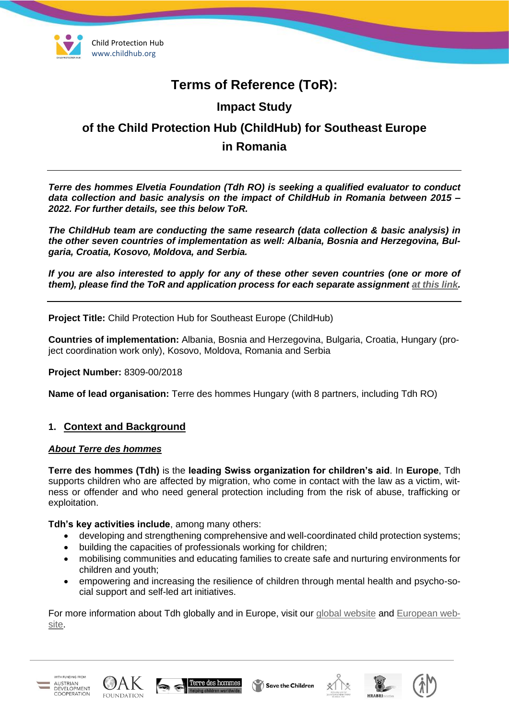

# **Terms of Reference (ToR):**

# **Impact Study**

# **of the Child Protection Hub (ChildHub) for Southeast Europe in Romania**

*Terre des hommes Elvetia Foundation (Tdh RO) is seeking a qualified evaluator to conduct data collection and basic analysis on the impact of ChildHub in Romania between 2015 – 2022. For further details, see this below ToR.*

*The ChildHub team are conducting the same research (data collection & basic analysis) in the other seven countries of implementation as well: Albania, Bosnia and Herzegovina, Bulgaria, Croatia, Kosovo, Moldova, and Serbia.*

*If you are also interested to apply for any of these other seven countries (one or more of them), please find the ToR and application process for each separate assignment [at this link.](https://childhub.org/en/child-protection-vacancies-jobs-positions/terms-reference-impact-study-child-protection-hub-albania-bosnia-and-herzegovina-bulgaria-croatia-kosovo-moldova-romania-and-serbia)*

**Project Title:** Child Protection Hub for Southeast Europe (ChildHub)

**Countries of implementation:** Albania, Bosnia and Herzegovina, Bulgaria, Croatia, Hungary (project coordination work only), Kosovo, Moldova, Romania and Serbia

**Project Number:** 8309-00/2018

**Name of lead organisation:** Terre des hommes Hungary (with 8 partners, including Tdh RO)

### **1. Context and Background**

#### *About Terre des hommes*

**Terre des hommes (Tdh)** is the **leading Swiss organization for children's aid**. In **Europe**, Tdh supports children who are affected by migration, who come in contact with the law as a victim, witness or offender and who need general protection including from the risk of abuse, trafficking or exploitation.

**Tdh's key activities include**, among many others:

- developing and strengthening comprehensive and well-coordinated child protection systems;
- building the capacities of professionals working for children;
- mobilising communities and educating families to create safe and nurturing environments for children and youth;
- empowering and increasing the resilience of children through mental health and psycho-social support and self-led art initiatives.

For more information about Tdh globally and in Europe, visit our [global website](http://www.tdh.ch/) and [European web](https://tdh-europe.org/about-us)[site.](https://tdh-europe.org/about-us)











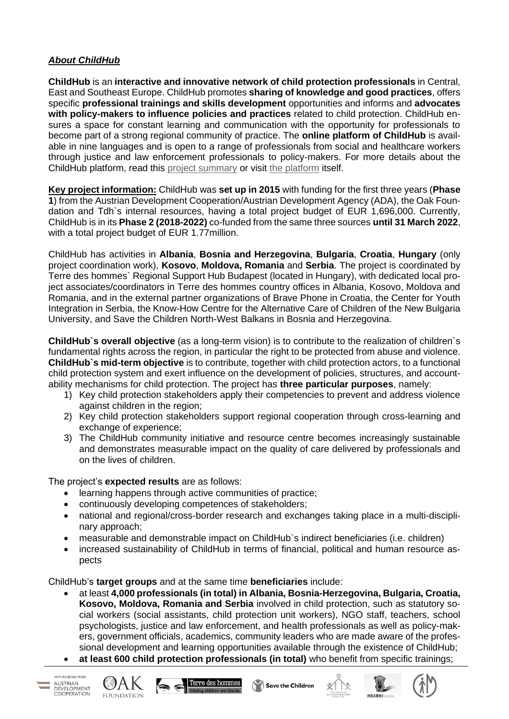### *About ChildHub*

**ChildHub** is an **interactive and innovative network of child protection professionals** in Central, East and Southeast Europe. ChildHub promotes **sharing of knowledge and good practices**, offers specific **professional trainings and skills development** opportunities and informs and **advocates with policy-makers to influence policies and practices** related to child protection. ChildHub ensures a space for constant learning and communication with the opportunity for professionals to become part of a strong regional community of practice. The **online platform of ChildHub** is available in nine languages and is open to a range of professionals from social and healthcare workers through justice and law enforcement professionals to policy-makers. For more details about the ChildHub platform, read this [project summary](https://www.tdh.ch/en/projects/child-hub) or visit [the platform](https://childhub.org/en) itself.

**Key project information:** ChildHub was **set up in 2015** with funding for the first three years (**Phase 1**) from the Austrian Development Cooperation/Austrian Development Agency (ADA), the Oak Foundation and Tdh`s internal resources, having a total project budget of EUR 1,696,000. Currently, ChildHub is in its **Phase 2 (2018-2022)** co-funded from the same three sources **until 31 March 2022**, with a total project budget of EUR 1.77million.

ChildHub has activities in **Albania**, **Bosnia and Herzegovina**, **Bulgaria**, **Croatia**, **Hungary** (only project coordination work), **Kosovo**, **Moldova, Romania** and **Serbia**. The project is coordinated by Terre des hommes` Regional Support Hub Budapest (located in Hungary), with dedicated local project associates/coordinators in Terre des hommes country offices in Albania, Kosovo, Moldova and Romania, and in the external partner organizations of Brave Phone in Croatia, the Center for Youth Integration in Serbia, the Know-How Centre for the Alternative Care of Children of the New Bulgaria University, and Save the Children North-West Balkans in Bosnia and Herzegovina.

**ChildHub`s overall objective** (as a long-term vision) is to contribute to the realization of children`s fundamental rights across the region, in particular the right to be protected from abuse and violence. **ChildHub`s mid-term objective** is to contribute, together with child protection actors, to a functional child protection system and exert influence on the development of policies, structures, and accountability mechanisms for child protection. The project has **three particular purposes**, namely:

- 1) Key child protection stakeholders apply their competencies to prevent and address violence against children in the region;
- 2) Key child protection stakeholders support regional cooperation through cross-learning and exchange of experience;
- 3) The ChildHub community initiative and resource centre becomes increasingly sustainable and demonstrates measurable impact on the quality of care delivered by professionals and on the lives of children.

The project's **expected results** are as follows:

- learning happens through active communities of practice;
- continuously developing competences of stakeholders;
- national and regional/cross-border research and exchanges taking place in a multi-disciplinary approach;
- measurable and demonstrable impact on ChildHub's indirect beneficiaries (i.e. children)
- increased sustainability of ChildHub in terms of financial, political and human resource aspects

ChildHub's **target groups** and at the same time **beneficiaries** include:

- at least **4,000 professionals (in total) in Albania, Bosnia-Herzegovina, Bulgaria, Croatia, Kosovo, Moldova, Romania and Serbia** involved in child protection, such as statutory social workers (social assistants, child protection unit workers), NGO staff, teachers, school psychologists, justice and law enforcement, and health professionals as well as policy-makers, government officials, academics, community leaders who are made aware of the professional development and learning opportunities available through the existence of ChildHub;
- **at least 600 child protection professionals (in total)** who benefit from specific trainings;











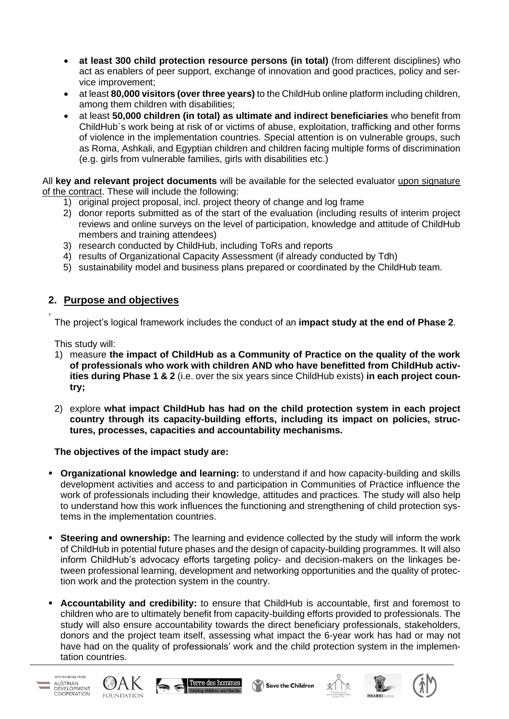- **at least 300 child protection resource persons (in total)** (from different disciplines) who act as enablers of peer support, exchange of innovation and good practices, policy and service improvement;
- at least **80,000 visitors (over three years)** to the ChildHub online platform including children, among them children with disabilities;
- at least **50,000 children (in total) as ultimate and indirect beneficiaries** who benefit from ChildHub`s work being at risk of or victims of abuse, exploitation, trafficking and other forms of violence in the implementation countries. Special attention is on vulnerable groups, such as Roma, Ashkali, and Egyptian children and children facing multiple forms of discrimination (e.g. girls from vulnerable families, girls with disabilities etc.)

All **key and relevant project documents** will be available for the selected evaluator upon signature of the contract. These will include the following:

- 1) original project proposal, incl. project theory of change and log frame
- 2) donor reports submitted as of the start of the evaluation (including results of interim project reviews and online surveys on the level of participation, knowledge and attitude of ChildHub members and training attendees)
- 3) research conducted by ChildHub, including ToRs and reports
- 4) results of Organizational Capacity Assessment (if already conducted by Tdh)
- 5) sustainability model and business plans prepared or coordinated by the ChildHub team.

### **2. Purpose and objectives**

The project's logical framework includes the conduct of an **impact study at the end of Phase 2**.

This study will:

,

- 1) measure **the impact of ChildHub as a Community of Practice on the quality of the work of professionals who work with children AND who have benefitted from ChildHub activities during Phase 1 & 2** (i.e. over the six years since ChildHub exists) **in each project country;**
- 2) explore **what impact ChildHub has had on the child protection system in each project country through its capacity-building efforts, including its impact on policies, structures, processes, capacities and accountability mechanisms.**

**The objectives of the impact study are:**

- **Organizational knowledge and learning:** to understand if and how capacity-building and skills development activities and access to and participation in Communities of Practice influence the work of professionals including their knowledge, attitudes and practices. The study will also help to understand how this work influences the functioning and strengthening of child protection systems in the implementation countries.
- **EXECTE 15 In Steering and ownership:** The learning and evidence collected by the study will inform the work of ChildHub in potential future phases and the design of capacity-building programmes. It will also inform ChildHub's advocacy efforts targeting policy- and decision-makers on the linkages between professional learning, development and networking opportunities and the quality of protection work and the protection system in the country.
- **Accountability and credibility:** to ensure that ChildHub is accountable, first and foremost to children who are to ultimately benefit from capacity-building efforts provided to professionals. The study will also ensure accountability towards the direct beneficiary professionals, stakeholders, donors and the project team itself, assessing what impact the 6-year work has had or may not have had on the quality of professionals' work and the child protection system in the implementation countries.

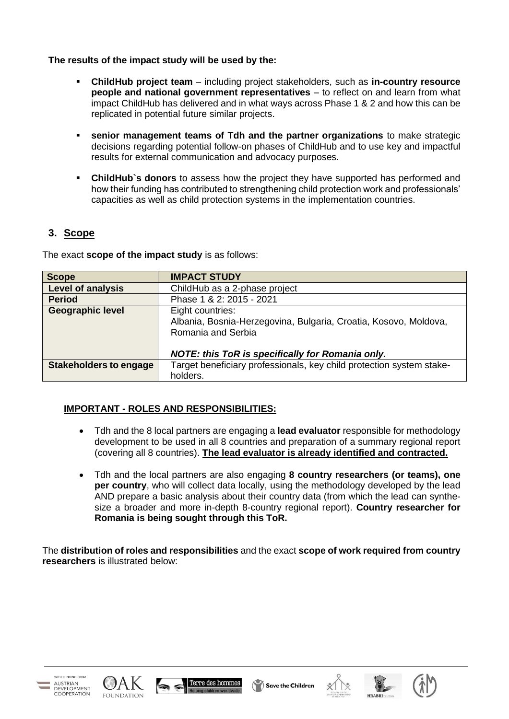### **The results of the impact study will be used by the:**

- **ChildHub project team** including project stakeholders, such as **in-country resource people and national government representatives** – to reflect on and learn from what impact ChildHub has delivered and in what ways across Phase 1 & 2 and how this can be replicated in potential future similar projects.
- **EXED** senior management teams of Tdh and the partner organizations to make strategic decisions regarding potential follow-on phases of ChildHub and to use key and impactful results for external communication and advocacy purposes.
- **ChildHub`s donors** to assess how the project they have supported has performed and how their funding has contributed to strengthening child protection work and professionals' capacities as well as child protection systems in the implementation countries.

## **3. Scope**

The exact **scope of the impact study** is as follows:

| <b>Scope</b>                  | <b>IMPACT STUDY</b>                                                                                                                                                   |
|-------------------------------|-----------------------------------------------------------------------------------------------------------------------------------------------------------------------|
| <b>Level of analysis</b>      | ChildHub as a 2-phase project                                                                                                                                         |
| <b>Period</b>                 | Phase 1 & 2: 2015 - 2021                                                                                                                                              |
| <b>Geographic level</b>       | Eight countries:<br>Albania, Bosnia-Herzegovina, Bulgaria, Croatia, Kosovo, Moldova,<br>Romania and Serbia<br><b>NOTE: this ToR is specifically for Romania only.</b> |
| <b>Stakeholders to engage</b> | Target beneficiary professionals, key child protection system stake-                                                                                                  |
|                               | holders.                                                                                                                                                              |

### **IMPORTANT - ROLES AND RESPONSIBILITIES:**

- Tdh and the 8 local partners are engaging a **lead evaluator** responsible for methodology development to be used in all 8 countries and preparation of a summary regional report (covering all 8 countries). **The lead evaluator is already identified and contracted.**
- Tdh and the local partners are also engaging **8 country researchers (or teams), one per country**, who will collect data locally, using the methodology developed by the lead AND prepare a basic analysis about their country data (from which the lead can synthesize a broader and more in-depth 8-country regional report). **Country researcher for Romania is being sought through this ToR.**

The **distribution of roles and responsibilities** and the exact **scope of work required from country researchers** is illustrated below:











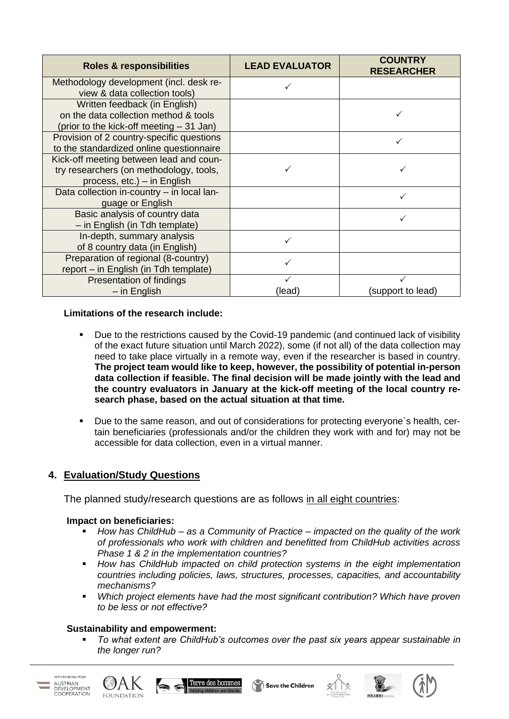| <b>Roles &amp; responsibilities</b>                                                                                | <b>LEAD EVALUATOR</b> | <b>COUNTRY</b><br><b>RESEARCHER</b> |
|--------------------------------------------------------------------------------------------------------------------|-----------------------|-------------------------------------|
| Methodology development (incl. desk re-<br>view & data collection tools)                                           |                       |                                     |
| Written feedback (in English)<br>on the data collection method & tools<br>(prior to the kick-off meeting – 31 Jan) |                       |                                     |
| Provision of 2 country-specific questions<br>to the standardized online questionnaire                              |                       |                                     |
| Kick-off meeting between lead and coun-<br>try researchers (on methodology, tools,<br>process, etc.) – in English  |                       |                                     |
| Data collection in-country - in local lan-<br>guage or English                                                     |                       | ✓                                   |
| Basic analysis of country data<br>- in English (in Tdh template)                                                   |                       | ✓                                   |
| In-depth, summary analysis<br>of 8 country data (in English)                                                       |                       |                                     |
| Preparation of regional (8-country)<br>report – in English (in Tdh template)                                       |                       |                                     |
| Presentation of findings<br>$-$ in English                                                                         | (lead)                | (support to lead)                   |

### **Limitations of the research include:**

- Due to the restrictions caused by the Covid-19 pandemic (and continued lack of visibility of the exact future situation until March 2022), some (if not all) of the data collection may need to take place virtually in a remote way, even if the researcher is based in country. **The project team would like to keep, however, the possibility of potential in-person data collection if feasible. The final decision will be made jointly with the lead and the country evaluators in January at the kick-off meeting of the local country research phase, based on the actual situation at that time.**
- Due to the same reason, and out of considerations for protecting everyone`s health, certain beneficiaries (professionals and/or the children they work with and for) may not be accessible for data collection, even in a virtual manner.

# **4. Evaluation/Study Questions**

The planned study/research questions are as follows in all eight countries:

### **Impact on beneficiaries:**

- *How has ChildHub* as a Community of Practice *impacted on the quality of the work of professionals who work with children and benefitted from ChildHub activities across Phase 1 & 2 in the implementation countries?*
- *How has ChildHub impacted on child protection systems in the eight implementation countries including policies, laws, structures, processes, capacities, and accountability mechanisms?*
- *Which project elements have had the most significant contribution? Which have proven to be less or not effective?*

### **Sustainability and empowerment:**

▪ *To what extent are ChildHub's outcomes over the past six years appear sustainable in the longer run?*











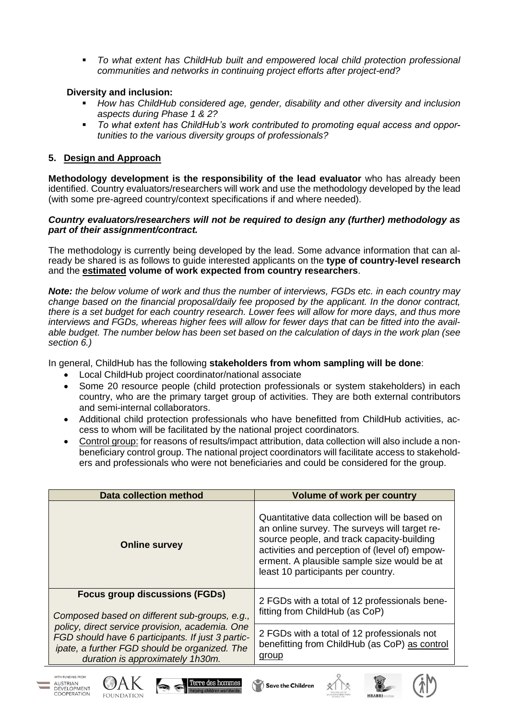To what extent has ChildHub built and empowered local child protection professional *communities and networks in continuing project efforts after project-end?*

### **Diversity and inclusion:**

- *How has ChildHub considered age, gender, disability and other diversity and inclusion aspects during Phase 1 & 2?*
- *To what extent has ChildHub's work contributed to promoting equal access and opportunities to the various diversity groups of professionals?*

### **5. Design and Approach**

WITH FUNDING FROM AUSTRIAN<br>DEVELOPMENT

COOPERATION

**FOUNDATION** 

**Methodology development is the responsibility of the lead evaluator** who has already been identified. Country evaluators/researchers will work and use the methodology developed by the lead (with some pre-agreed country/context specifications if and where needed).

#### *Country evaluators/researchers will not be required to design any (further) methodology as part of their assignment/contract.*

The methodology is currently being developed by the lead. Some advance information that can already be shared is as follows to guide interested applicants on the **type of country-level research** and the **estimated volume of work expected from country researchers**.

*Note: the below volume of work and thus the number of interviews, FGDs etc. in each country may change based on the financial proposal/daily fee proposed by the applicant. In the donor contract, there is a set budget for each country research. Lower fees will allow for more days, and thus more interviews and FGDs, whereas higher fees will allow for fewer days that can be fitted into the available budget. The number below has been set based on the calculation of days in the work plan (see section 6.)*

In general, ChildHub has the following **stakeholders from whom sampling will be done**:

- Local ChildHub project coordinator/national associate
- Some 20 resource people (child protection professionals or system stakeholders) in each country, who are the primary target group of activities. They are both external contributors and semi-internal collaborators.
- Additional child protection professionals who have benefitted from ChildHub activities, access to whom will be facilitated by the national project coordinators.
- Control group: for reasons of results/impact attribution, data collection will also include a nonbeneficiary control group. The national project coordinators will facilitate access to stakeholders and professionals who were not beneficiaries and could be considered for the group.

| <b>Data collection method</b>                                                                                                                                                             | <b>Volume of work per country</b>                                                                                                                                                                                                                                                   |
|-------------------------------------------------------------------------------------------------------------------------------------------------------------------------------------------|-------------------------------------------------------------------------------------------------------------------------------------------------------------------------------------------------------------------------------------------------------------------------------------|
| <b>Online survey</b>                                                                                                                                                                      | Quantitative data collection will be based on<br>an online survey. The surveys will target re-<br>source people, and track capacity-building<br>activities and perception of (level of) empow-<br>erment. A plausible sample size would be at<br>least 10 participants per country. |
| <b>Focus group discussions (FGDs)</b><br>Composed based on different sub-groups, e.g.,                                                                                                    | 2 FGDs with a total of 12 professionals bene-<br>fitting from ChildHub (as CoP)                                                                                                                                                                                                     |
| policy, direct service provision, academia. One<br>FGD should have 6 participants. If just 3 partic-<br>ipate, a further FGD should be organized. The<br>duration is approximately 1h30m. | 2 FGDs with a total of 12 professionals not<br>benefitting from ChildHub (as CoP) as control<br>group                                                                                                                                                                               |

Save the Children

Terre des hommes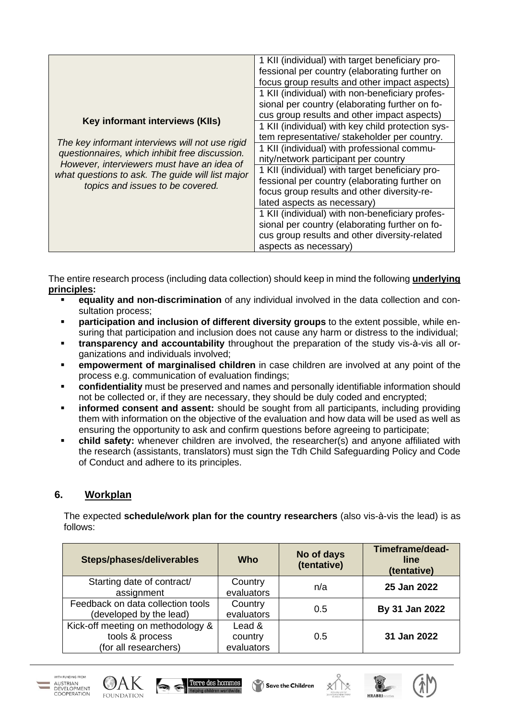|                                                                                                                                                                                                                                                                            | 1 KII (individual) with target beneficiary pro-   |
|----------------------------------------------------------------------------------------------------------------------------------------------------------------------------------------------------------------------------------------------------------------------------|---------------------------------------------------|
|                                                                                                                                                                                                                                                                            | fessional per country (elaborating further on     |
|                                                                                                                                                                                                                                                                            | focus group results and other impact aspects)     |
|                                                                                                                                                                                                                                                                            | 1 KII (individual) with non-beneficiary profes-   |
|                                                                                                                                                                                                                                                                            | sional per country (elaborating further on fo-    |
| Key informant interviews (KIIs)<br>The key informant interviews will not use rigid<br>questionnaires, which inhibit free discussion.<br>However, interviewers must have an idea of<br>what questions to ask. The guide will list major<br>topics and issues to be covered. | cus group results and other impact aspects)       |
|                                                                                                                                                                                                                                                                            | 1 KII (individual) with key child protection sys- |
|                                                                                                                                                                                                                                                                            | tem representative/ stakeholder per country.      |
|                                                                                                                                                                                                                                                                            | 1 KII (individual) with professional commu-       |
|                                                                                                                                                                                                                                                                            | nity/network participant per country              |
|                                                                                                                                                                                                                                                                            | 1 KII (individual) with target beneficiary pro-   |
|                                                                                                                                                                                                                                                                            | fessional per country (elaborating further on     |
|                                                                                                                                                                                                                                                                            | focus group results and other diversity-re-       |
|                                                                                                                                                                                                                                                                            | lated aspects as necessary)                       |
|                                                                                                                                                                                                                                                                            | 1 KII (individual) with non-beneficiary profes-   |
|                                                                                                                                                                                                                                                                            | sional per country (elaborating further on fo-    |
|                                                                                                                                                                                                                                                                            | cus group results and other diversity-related     |
|                                                                                                                                                                                                                                                                            | aspects as necessary)                             |

The entire research process (including data collection) should keep in mind the following **underlying principles:**

- **equality and non-discrimination** of any individual involved in the data collection and consultation process;
- **participation and inclusion of different diversity groups** to the extent possible, while ensuring that participation and inclusion does not cause any harm or distress to the individual;
- **transparency and accountability** throughout the preparation of the study vis-à-vis all organizations and individuals involved;
- **EXECT empowerment of marginalised children** in case children are involved at any point of the process e.g. communication of evaluation findings;
- **confidentiality** must be preserved and names and personally identifiable information should not be collected or, if they are necessary, they should be duly coded and encrypted;
- **informed consent and assent:** should be sought from all participants, including providing them with information on the objective of the evaluation and how data will be used as well as ensuring the opportunity to ask and confirm questions before agreeing to participate;
- **child safety:** whenever children are involved, the researcher(s) and anyone affiliated with the research (assistants, translators) must sign the Tdh Child Safeguarding Policy and Code of Conduct and adhere to its principles.

# **6. Workplan**

The expected **schedule/work plan for the country researchers** (also vis-à-vis the lead) is as follows:

| Steps/phases/deliverables                                                     | Who                             | No of days<br>(tentative) | Timeframe/dead-<br>line<br>(tentative) |
|-------------------------------------------------------------------------------|---------------------------------|---------------------------|----------------------------------------|
| Starting date of contract/<br>assignment                                      | Country<br>evaluators           | n/a                       | 25 Jan 2022                            |
| Feedback on data collection tools<br>(developed by the lead)                  | Country<br>evaluators           | 0.5                       | By 31 Jan 2022                         |
| Kick-off meeting on methodology &<br>tools & process<br>(for all researchers) | Lead &<br>country<br>evaluators | 0.5                       | 31 Jan 2022                            |











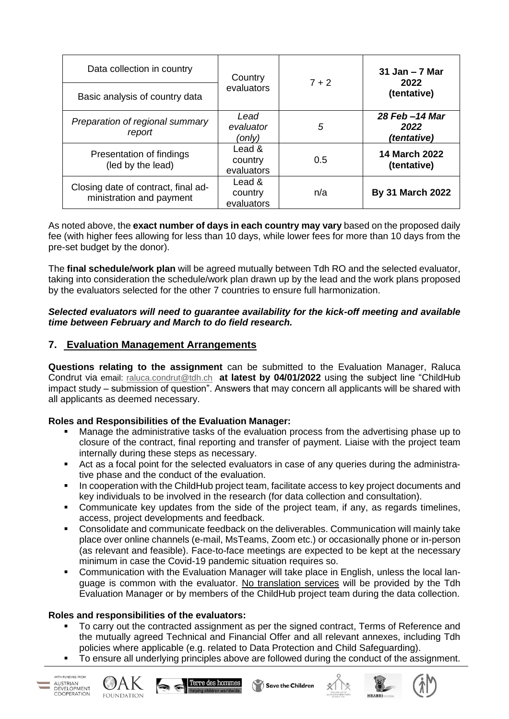| Data collection in country<br>Basic analysis of country data    | Country<br>evaluators           | $7 + 2$ | $31$ Jan $-7$ Mar<br>2022<br>(tentative) |
|-----------------------------------------------------------------|---------------------------------|---------|------------------------------------------|
| Preparation of regional summary<br>report                       | Lead<br>evaluator<br>(only)     | 5       | 28 Feb -14 Mar<br>2022<br>(tentative)    |
| Presentation of findings<br>(led by the lead)                   | Lead &<br>country<br>evaluators | 0.5     | <b>14 March 2022</b><br>(tentative)      |
| Closing date of contract, final ad-<br>ministration and payment | Lead &<br>country<br>evaluators | n/a     | <b>By 31 March 2022</b>                  |

As noted above, the **exact number of days in each country may vary** based on the proposed daily fee (with higher fees allowing for less than 10 days, while lower fees for more than 10 days from the pre-set budget by the donor).

The **final schedule/work plan** will be agreed mutually between Tdh RO and the selected evaluator, taking into consideration the schedule/work plan drawn up by the lead and the work plans proposed by the evaluators selected for the other 7 countries to ensure full harmonization.

### *Selected evaluators will need to guarantee availability for the kick-off meeting and available time between February and March to do field research.*

## **7. Evaluation Management Arrangements**

**Questions relating to the assignment** can be submitted to the Evaluation Manager, Raluca Condrut via email: [raluca.condrut@tdh.ch](mailto:raluca.condrut@tdh.ch) **at latest by 04/01/2022** using the subject line "ChildHub impact study – submission of question". Answers that may concern all applicants will be shared with all applicants as deemed necessary.

### **Roles and Responsibilities of the Evaluation Manager:**

- Manage the administrative tasks of the evaluation process from the advertising phase up to closure of the contract, final reporting and transfer of payment. Liaise with the project team internally during these steps as necessary.
- Act as a focal point for the selected evaluators in case of any queries during the administrative phase and the conduct of the evaluation.
- In cooperation with the ChildHub project team, facilitate access to key project documents and key individuals to be involved in the research (for data collection and consultation).
- Communicate key updates from the side of the project team, if any, as regards timelines, access, project developments and feedback.
- Consolidate and communicate feedback on the deliverables. Communication will mainly take place over online channels (e-mail, MsTeams, Zoom etc.) or occasionally phone or in-person (as relevant and feasible). Face-to-face meetings are expected to be kept at the necessary minimum in case the Covid-19 pandemic situation requires so.
- **•** Communication with the Evaluation Manager will take place in English, unless the local language is common with the evaluator. No translation services will be provided by the Tdh Evaluation Manager or by members of the ChildHub project team during the data collection.

### **Roles and responsibilities of the evaluators:**

- To carry out the contracted assignment as per the signed contract, Terms of Reference and the mutually agreed Technical and Financial Offer and all relevant annexes, including Tdh policies where applicable (e.g. related to Data Protection and Child Safeguarding).
- To ensure all underlying principles above are followed during the conduct of the assignment.











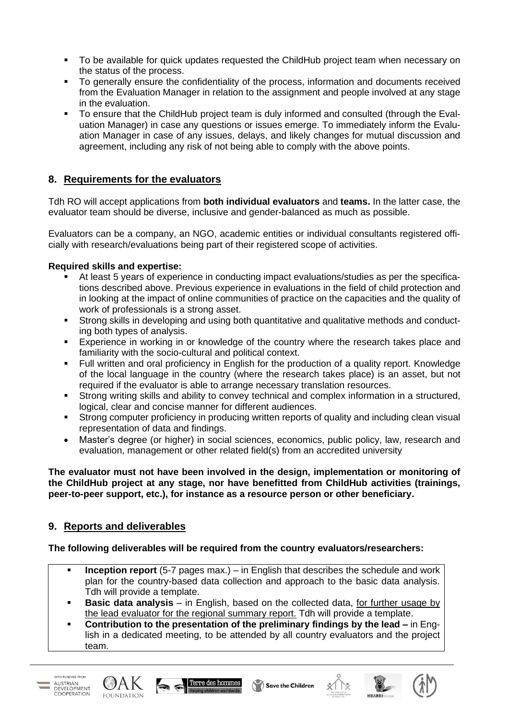- To be available for quick updates requested the ChildHub project team when necessary on the status of the process.
- To generally ensure the confidentiality of the process, information and documents received from the Evaluation Manager in relation to the assignment and people involved at any stage in the evaluation.
- To ensure that the ChildHub project team is duly informed and consulted (through the Evaluation Manager) in case any questions or issues emerge. To immediately inform the Evaluation Manager in case of any issues, delays, and likely changes for mutual discussion and agreement, including any risk of not being able to comply with the above points.

# **8. Requirements for the evaluators**

Tdh RO will accept applications from **both individual evaluators** and **teams.** In the latter case, the evaluator team should be diverse, inclusive and gender-balanced as much as possible.

Evaluators can be a company, an NGO, academic entities or individual consultants registered officially with research/evaluations being part of their registered scope of activities.

### **Required skills and expertise:**

- At least 5 years of experience in conducting impact evaluations/studies as per the specifications described above. Previous experience in evaluations in the field of child protection and in looking at the impact of online communities of practice on the capacities and the quality of work of professionals is a strong asset.
- **EXTERN Strong skills in developing and using both quantitative and qualitative methods and conduct**ing both types of analysis.
- Experience in working in or knowledge of the country where the research takes place and familiarity with the socio-cultural and political context.
- Full written and oral proficiency in English for the production of a quality report. Knowledge of the local language in the country (where the research takes place) is an asset, but not required if the evaluator is able to arrange necessary translation resources.
- Strong writing skills and ability to convey technical and complex information in a structured, logical, clear and concise manner for different audiences.
- Strong computer proficiency in producing written reports of quality and including clean visual representation of data and findings.
- Master's degree (or higher) in social sciences, economics, public policy, law, research and evaluation, management or other related field(s) from an accredited university

**The evaluator must not have been involved in the design, implementation or monitoring of the ChildHub project at any stage, nor have benefitted from ChildHub activities (trainings, peer-to-peer support, etc.), for instance as a resource person or other beneficiary.**

### **9. Reports and deliverables**

### **The following deliverables will be required from the country evaluators/researchers:**

- **Inception report** (5-7 pages max.) in English that describes the schedule and work plan for the country-based data collection and approach to the basic data analysis. Tdh will provide a template.
- **Basic data analysis** in English, based on the collected data, for further usage by the lead evaluator for the regional summary report. Tdh will provide a template.
- **Contribution to the presentation of the preliminary findings by the lead –** in English in a dedicated meeting, to be attended by all country evaluators and the project team.









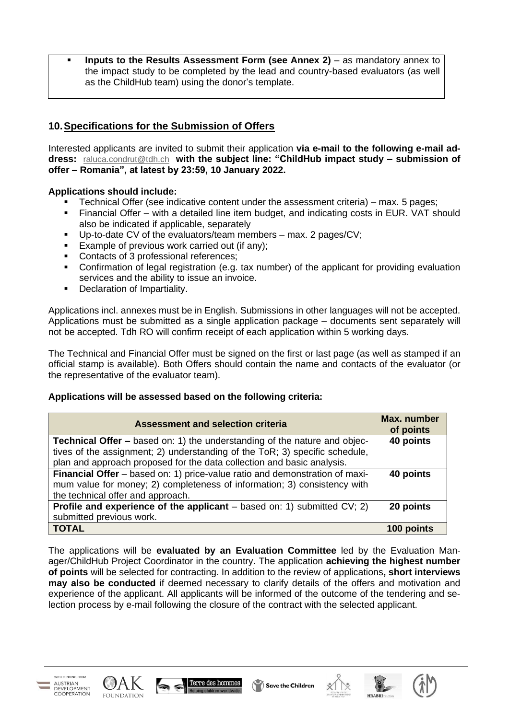**Inputs to the Results Assessment Form (see Annex 2)** – as mandatory annex to the impact study to be completed by the lead and country-based evaluators (as well as the ChildHub team) using the donor's template.

# **10.Specifications for the Submission of Offers**

Interested applicants are invited to submit their application **via e-mail to the following e-mail address:** [raluca.condrut@tdh.ch](mailto:raluca.condrut@tdh.ch) **with the subject line: "ChildHub impact study – submission of offer – Romania", at latest by 23:59, 10 January 2022.**

### **Applications should include:**

- Technical Offer (see indicative content under the assessment criteria) max. 5 pages;
- Financial Offer with a detailed line item budget, and indicating costs in EUR. VAT should also be indicated if applicable, separately
- Up-to-date CV of the evaluators/team members max. 2 pages/CV;
- Example of previous work carried out (if any);
- Contacts of 3 professional references;
- Confirmation of legal registration (e.g. tax number) of the applicant for providing evaluation services and the ability to issue an invoice.
- Declaration of Impartiality.

Applications incl. annexes must be in English. Submissions in other languages will not be accepted. Applications must be submitted as a single application package – documents sent separately will not be accepted. Tdh RO will confirm receipt of each application within 5 working days.

The Technical and Financial Offer must be signed on the first or last page (as well as stamped if an official stamp is available). Both Offers should contain the name and contacts of the evaluator (or the representative of the evaluator team).

### **Applications will be assessed based on the following criteria:**

| <b>Assessment and selection criteria</b>                                          | Max. number<br>of points |
|-----------------------------------------------------------------------------------|--------------------------|
| <b>Technical Offer –</b> based on: 1) the understanding of the nature and objec-  | 40 points                |
| tives of the assignment; 2) understanding of the ToR; 3) specific schedule,       |                          |
| plan and approach proposed for the data collection and basic analysis.            |                          |
| Financial Offer - based on: 1) price-value ratio and demonstration of maxi-       | 40 points                |
| mum value for money; 2) completeness of information; 3) consistency with          |                          |
| the technical offer and approach.                                                 |                          |
| <b>Profile and experience of the applicant</b> – based on: 1) submitted $CV$ ; 2) | 20 points                |
| submitted previous work.                                                          |                          |
| <b>TOTAL</b>                                                                      | 100 points               |

The applications will be **evaluated by an Evaluation Committee** led by the Evaluation Manager/ChildHub Project Coordinator in the country. The application **achieving the highest number of points** will be selected for contracting. In addition to the review of applications**, short interviews may also be conducted** if deemed necessary to clarify details of the offers and motivation and experience of the applicant. All applicants will be informed of the outcome of the tendering and selection process by e-mail following the closure of the contract with the selected applicant.